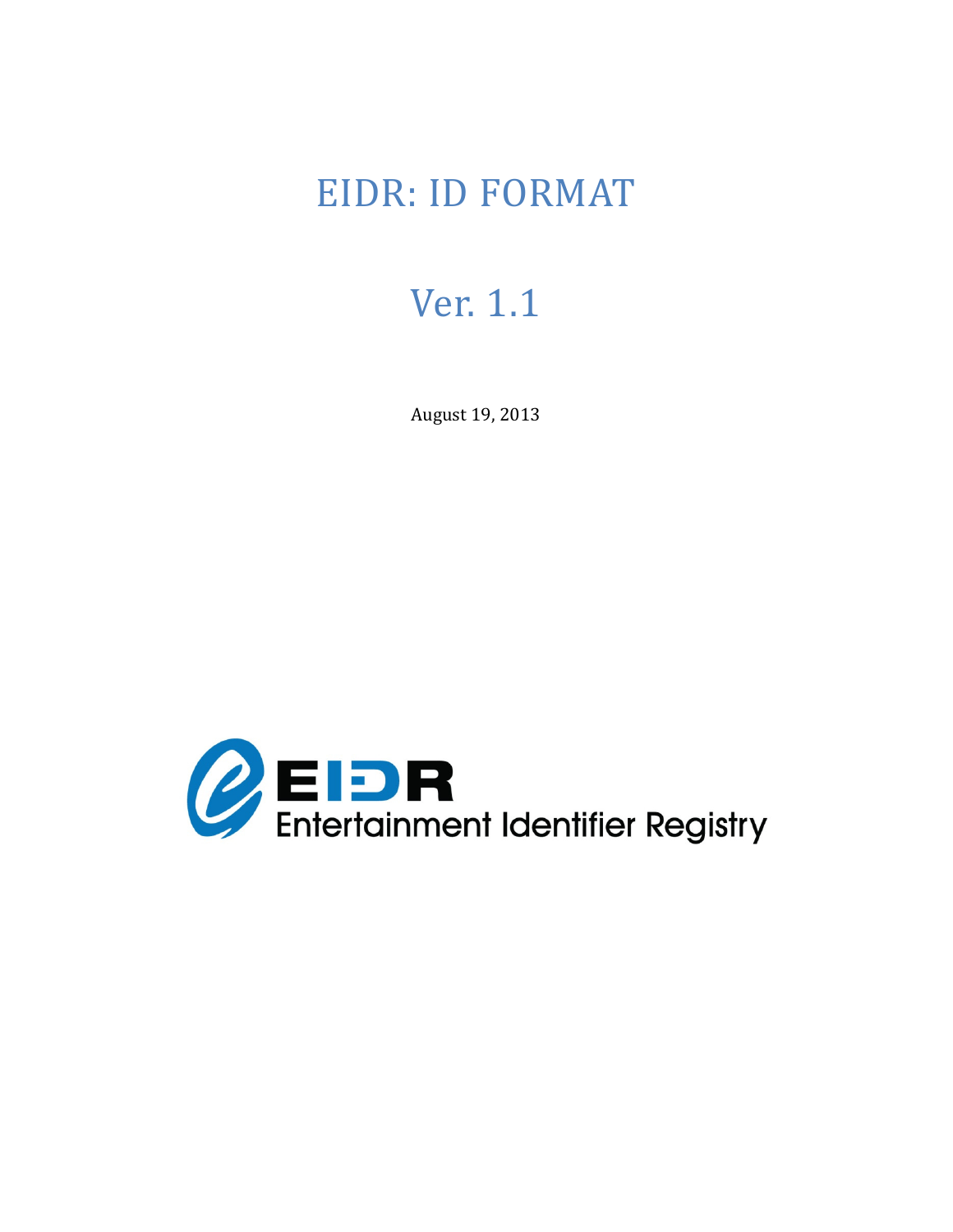# EIDR: ID FORMAT

# Ver. 1.1

August 19, 2013 

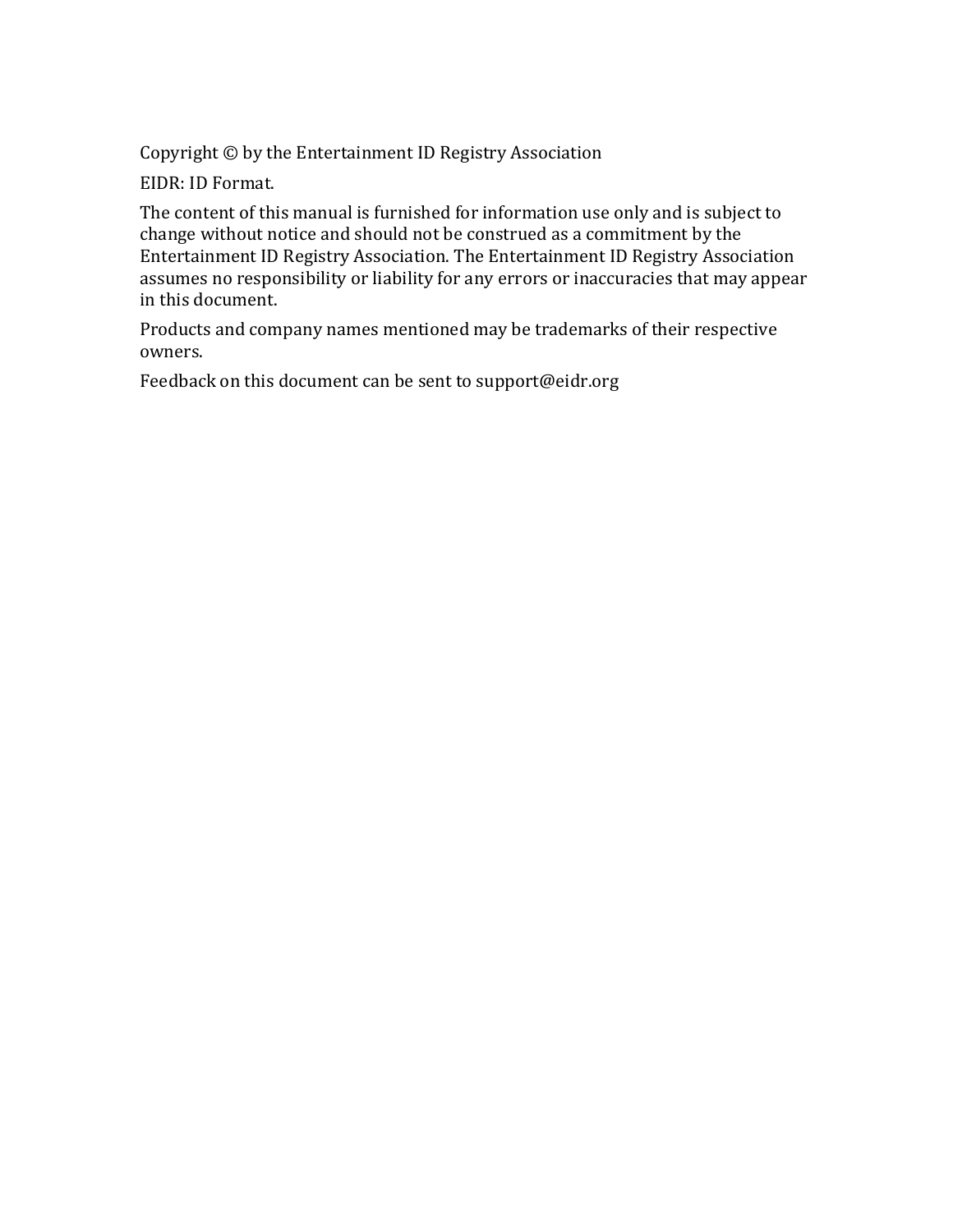Copyright  $\odot$  by the Entertainment ID Registry Association

EIDR: ID Format.

The content of this manual is furnished for information use only and is subject to change without notice and should not be construed as a commitment by the Entertainment ID Registry Association. The Entertainment ID Registry Association assumes no responsibility or liability for any errors or inaccuracies that may appear in this document.

Products and company names mentioned may be trademarks of their respective owners. 

Feedback on this document can be sent to support@eidr.org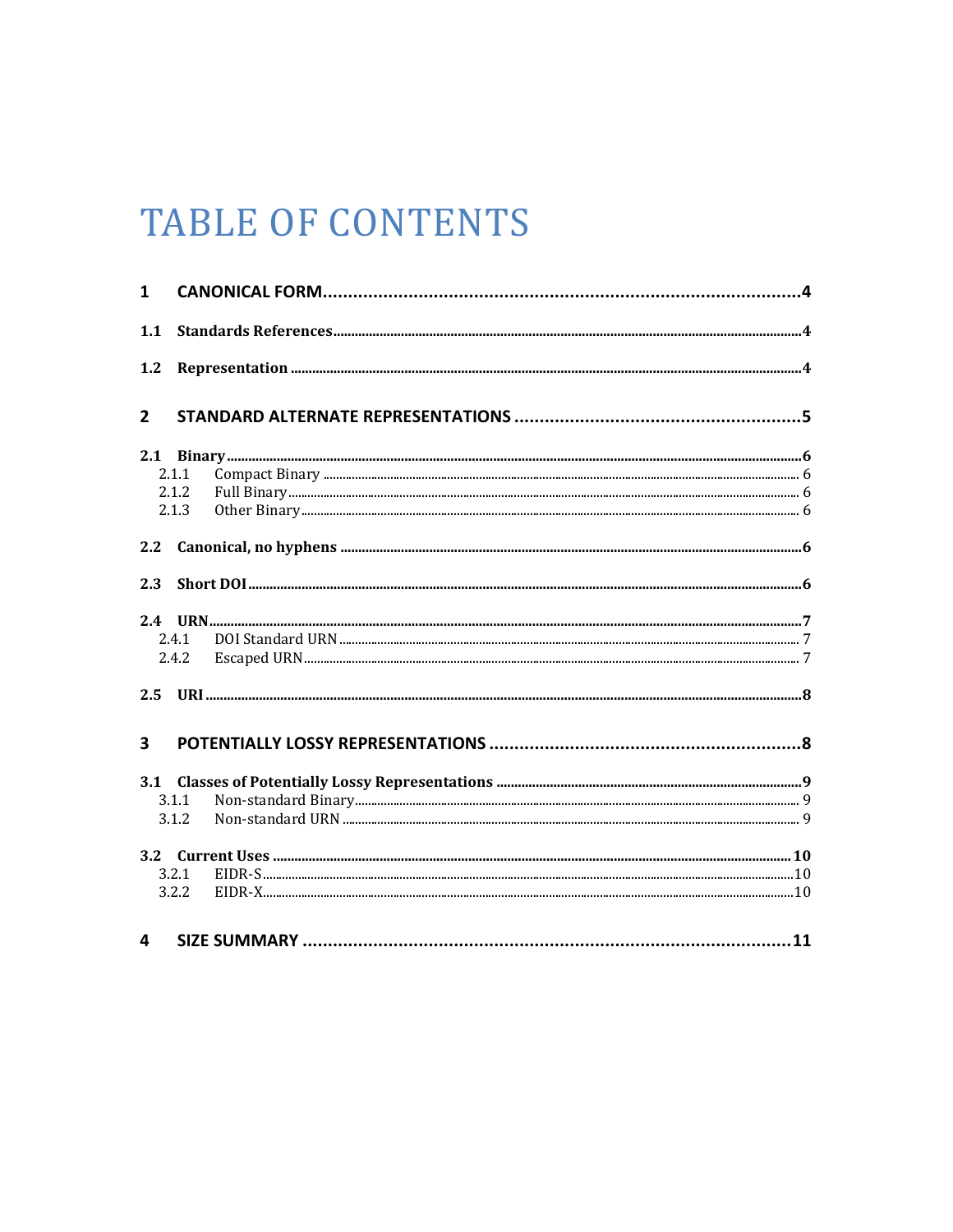# **TABLE OF CONTENTS**

| $\mathbf{1}$            |       |  |
|-------------------------|-------|--|
| 1.1                     |       |  |
| 1.2                     |       |  |
| $\overline{2}$          |       |  |
| 2.1                     |       |  |
|                         | 2.1.1 |  |
|                         | 2.1.2 |  |
|                         | 2.1.3 |  |
| 2.2                     |       |  |
| 2.3                     |       |  |
|                         |       |  |
|                         | 2.4.1 |  |
|                         | 2.4.2 |  |
| 2.5                     |       |  |
| $\overline{\mathbf{3}}$ |       |  |
|                         |       |  |
|                         |       |  |
|                         | 3.1.1 |  |
|                         | 3.1.2 |  |
|                         |       |  |
|                         | 3.2.1 |  |
|                         | 3.2.2 |  |
| 4                       |       |  |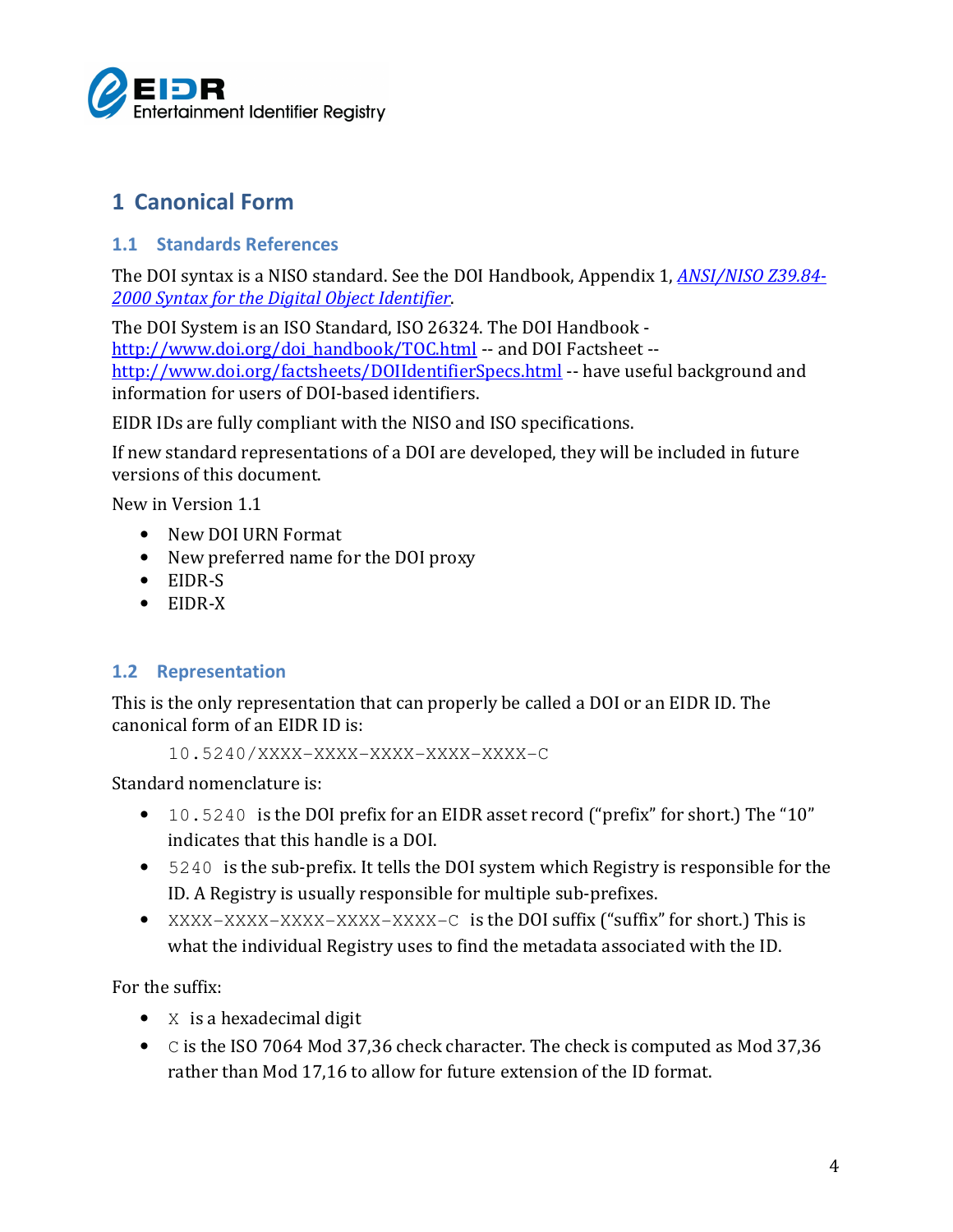

# 1 Canonical Form

### 1.1 Standards References

The DOI syntax is a NISO standard. See the DOI Handbook, Appendix 1, ANSI/NISO Z39.84- 2000 Syntax for the Digital Object Identifier.

The DOI System is an ISO Standard, ISO 26324. The DOI Handbook http://www.doi.org/doi\_handbook/TOC.html -- and DOI Factsheet -http://www.doi.org/factsheets/DOIIdentifierSpecs.html -- have useful background and information for users of DOI-based identifiers.

EIDR IDs are fully compliant with the NISO and ISO specifications.

If new standard representations of a DOI are developed, they will be included in future versions of this document.

New in Version 1.1

- New DOI URN Format
- New preferred name for the DOI proxy
- EIDR-S
- EIDR-X

## 1.2 Representation

This is the only representation that can properly be called a DOI or an EIDR ID. The canonical form of an EIDR ID is:

10.5240/XXXX-XXXX-XXXX-XXXX-XXXX-C

Standard nomenclature is:

- 10.5240 is the DOI prefix for an EIDR asset record ("prefix" for short.) The "10" indicates that this handle is a DOI.
- 5240 is the sub-prefix. It tells the DOI system which Registry is responsible for the ID. A Registry is usually responsible for multiple sub-prefixes.
- XXXX-XXXX-XXXX-XXXX-XXXX-C is the DOI suffix ("suffix" for short.) This is what the individual Registry uses to find the metadata associated with the ID.

For the suffix:

- X is a hexadecimal digit
- C is the ISO 7064 Mod 37,36 check character. The check is computed as Mod 37,36 rather than Mod 17,16 to allow for future extension of the ID format.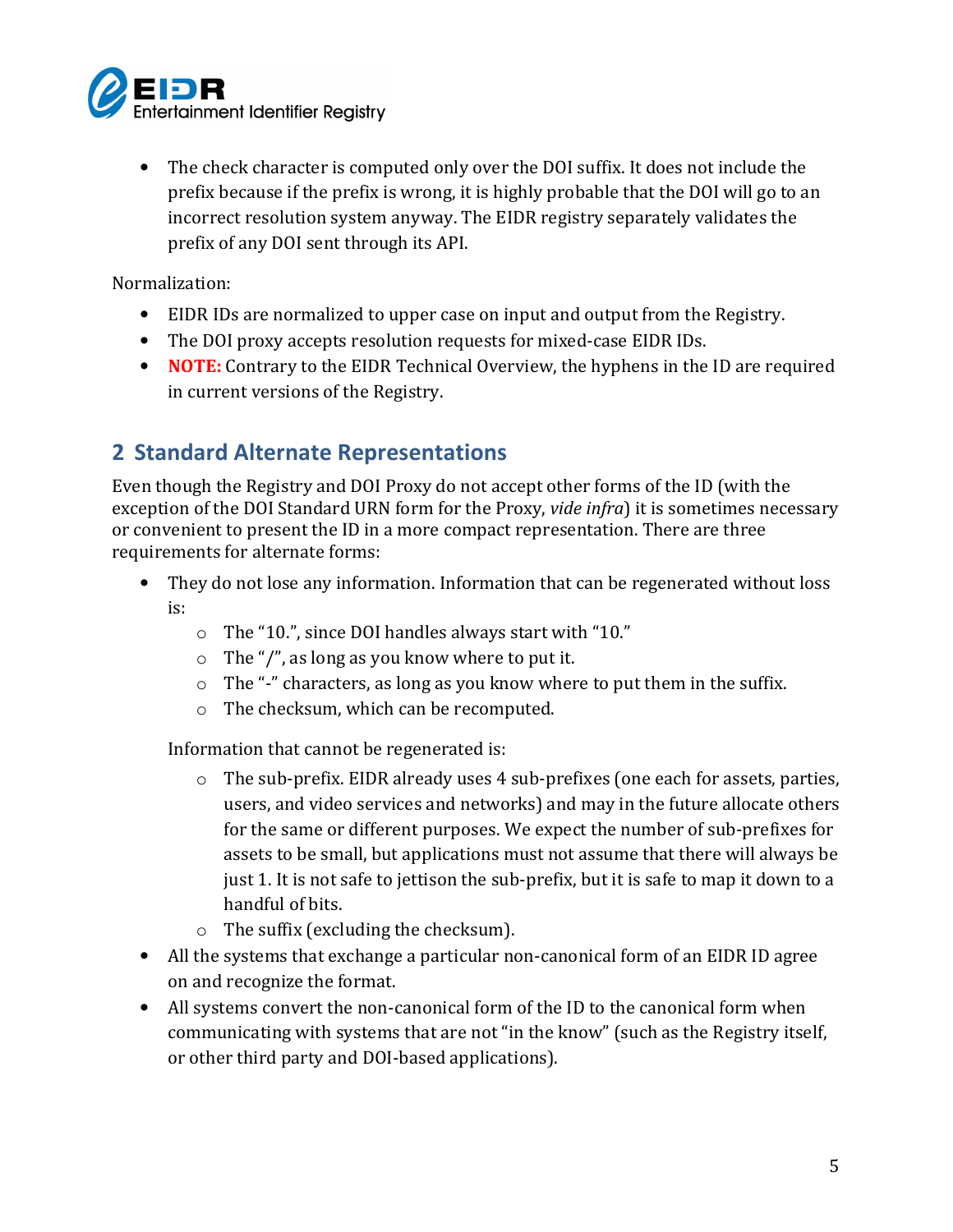

• The check character is computed only over the DOI suffix. It does not include the prefix because if the prefix is wrong, it is highly probable that the DOI will go to an incorrect resolution system anyway. The EIDR registry separately validates the prefix of any DOI sent through its API.

Normalization:

- EIDR IDs are normalized to upper case on input and output from the Registry.
- The DOI proxy accepts resolution requests for mixed-case EIDR IDs.
- NOTE: Contrary to the EIDR Technical Overview, the hyphens in the ID are required in current versions of the Registry.

# 2 Standard Alternate Representations

Even though the Registry and DOI Proxy do not accept other forms of the ID (with the exception of the DOI Standard URN form for the Proxy, vide infra) it is sometimes necessary or convenient to present the ID in a more compact representation. There are three requirements for alternate forms:

- They do not lose any information. Information that can be regenerated without loss is:
	- o The "10.", since DOI handles always start with "10."
	- o The "/", as long as you know where to put it.
	- $\circ$  The "-" characters, as long as you know where to put them in the suffix.
	- o The checksum, which can be recomputed.

Information that cannot be regenerated is:

- o The sub-prefix. EIDR already uses 4 sub-prefixes (one each for assets, parties, users, and video services and networks) and may in the future allocate others for the same or different purposes. We expect the number of sub-prefixes for assets to be small, but applications must not assume that there will always be just 1. It is not safe to jettison the sub-prefix, but it is safe to map it down to a handful of bits.
- o The suffix (excluding the checksum).
- All the systems that exchange a particular non-canonical form of an EIDR ID agree on and recognize the format.
- All systems convert the non-canonical form of the ID to the canonical form when communicating with systems that are not "in the know" (such as the Registry itself, or other third party and DOI-based applications).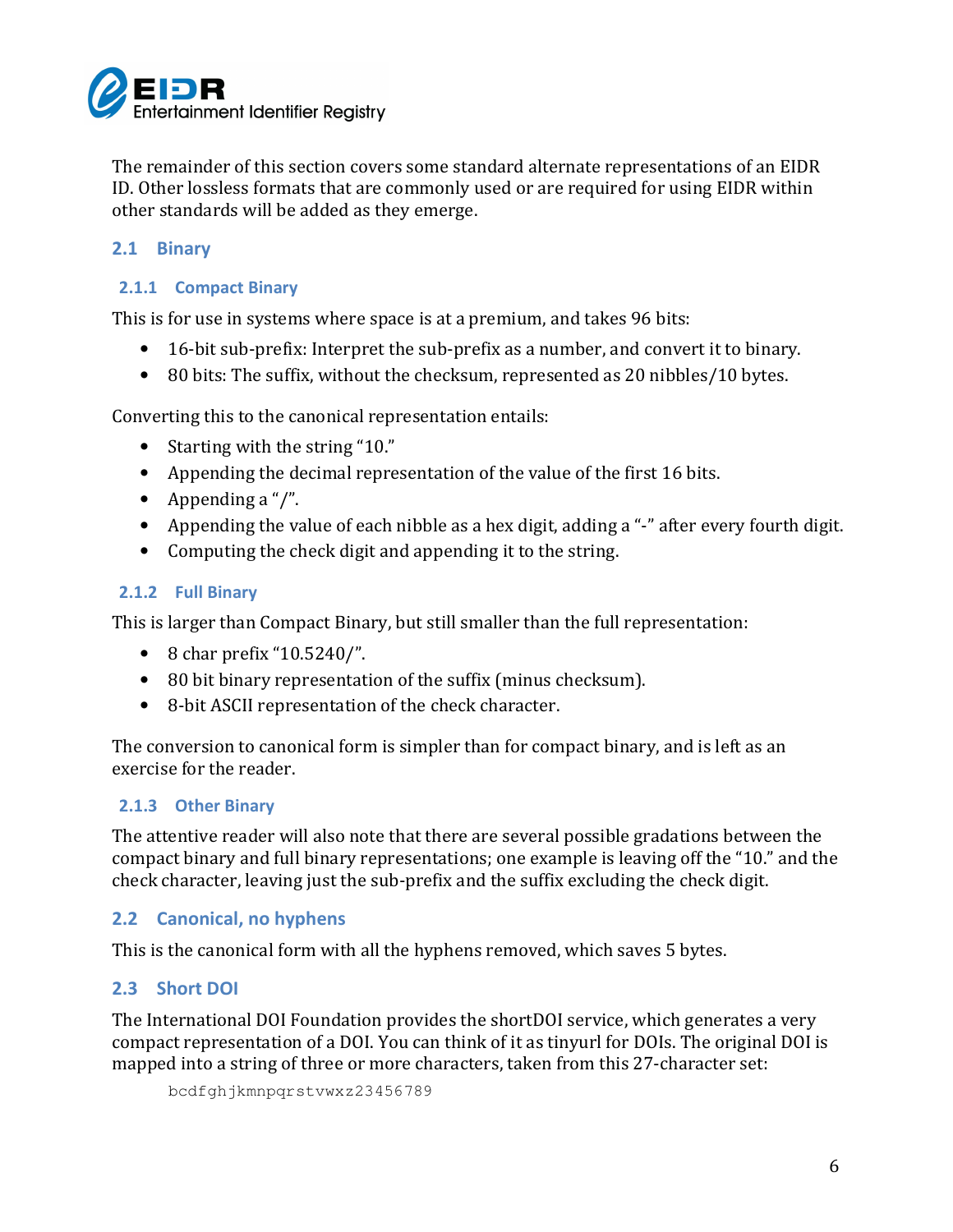

The remainder of this section covers some standard alternate representations of an EIDR ID. Other lossless formats that are commonly used or are required for using EIDR within other standards will be added as they emerge.

### 2.1 Binary

#### 2.1.1 Compact Binary

This is for use in systems where space is at a premium, and takes 96 bits:

- 16-bit sub-prefix: Interpret the sub-prefix as a number, and convert it to binary.
- 80 bits: The suffix, without the checksum, represented as 20 nibbles/10 bytes.

Converting this to the canonical representation entails:

- Starting with the string "10."
- Appending the decimal representation of the value of the first 16 bits.
- Appending a "/".
- Appending the value of each nibble as a hex digit, adding a "-" after every fourth digit.
- Computing the check digit and appending it to the string.

#### 2.1.2 Full Binary

This is larger than Compact Binary, but still smaller than the full representation:

- 8 char prefix "10.5240/".
- 80 bit binary representation of the suffix (minus checksum).
- 8-bit ASCII representation of the check character.

The conversion to canonical form is simpler than for compact binary, and is left as an exercise for the reader.

#### 2.1.3 Other Binary

The attentive reader will also note that there are several possible gradations between the compact binary and full binary representations; one example is leaving off the "10." and the check character, leaving just the sub-prefix and the suffix excluding the check digit.

#### 2.2 Canonical, no hyphens

This is the canonical form with all the hyphens removed, which saves 5 bytes.

#### 2.3 Short DOI

The International DOI Foundation provides the shortDOI service, which generates a very compact representation of a DOI. You can think of it as tinyurl for DOIs. The original DOI is mapped into a string of three or more characters, taken from this 27-character set:

bcdfghjkmnpqrstvwxz23456789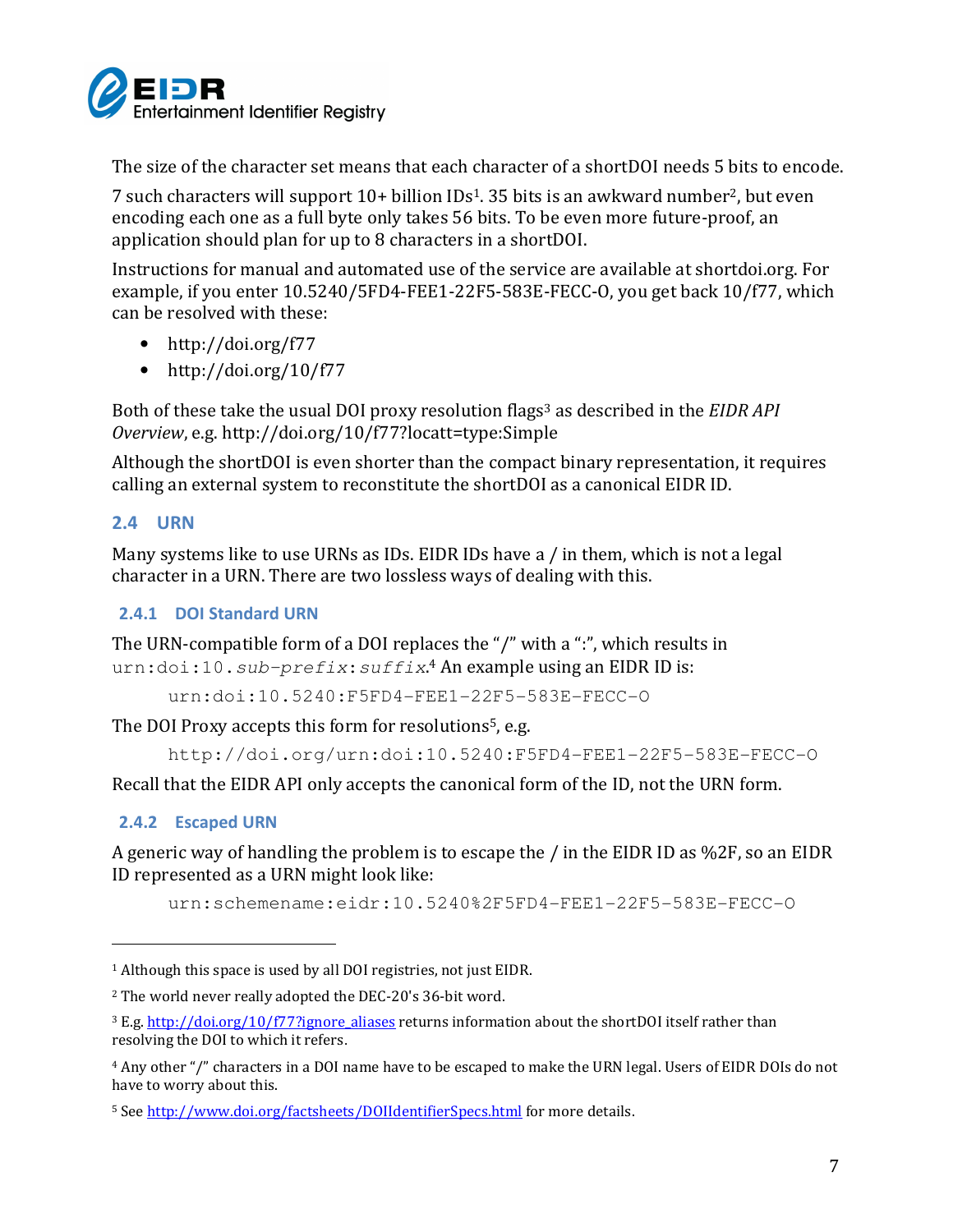

The size of the character set means that each character of a shortDOI needs 5 bits to encode.

7 such characters will support 10+ billion IDs1. 35 bits is an awkward number2, but even encoding each one as a full byte only takes 56 bits. To be even more future-proof, an application should plan for up to 8 characters in a shortDOI.

Instructions for manual and automated use of the service are available at shortdoi.org. For example, if you enter 10.5240/5FD4-FEE1-22F5-583E-FECC-O, you get back 10/f77, which can be resolved with these:

- http://doi.org/f77
- http://doi.org/10/f77

Both of these take the usual DOI proxy resolution flags<sup>3</sup> as described in the EIDR API Overview, e.g. http://doi.org/10/f77?locatt=type:Simple

Although the shortDOI is even shorter than the compact binary representation, it requires calling an external system to reconstitute the shortDOI as a canonical EIDR ID.

#### 2.4 URN

Many systems like to use URNs as IDs. EIDR IDs have a / in them, which is not a legal character in a URN. There are two lossless ways of dealing with this.

#### 2.4.1 DOI Standard URN

The URN-compatible form of a DOI replaces the "/" with a ":", which results in urn:doi:10.sub-prefix: suffix.<sup>4</sup> An example using an EIDR ID is:

urn:doi:10.5240:F5FD4-FEE1-22F5-583E-FECC-O

The DOI Proxy accepts this form for resolutions<sup>5</sup>, e.g.

http://doi.org/urn:doi:10.5240:F5FD4-FEE1-22F5-583E-FECC-O

Recall that the EIDR API only accepts the canonical form of the ID, not the URN form.

#### 2.4.2 Escaped URN

 $\overline{a}$ 

A generic way of handling the problem is to escape the / in the EIDR ID as %2F, so an EIDR ID represented as a URN might look like:

urn:schemename:eidr:10.5240%2F5FD4-FEE1-22F5-583E-FECC-O

<sup>1</sup> Although this space is used by all DOI registries, not just EIDR.

<sup>2</sup> The world never really adopted the DEC-20's 36-bit word.

<sup>&</sup>lt;sup>3</sup> E.g. http://doi.org/10/f77?ignore\_aliases returns information about the shortDOI itself rather than resolving the DOI to which it refers.

<sup>4</sup> Any other "/" characters in a DOI name have to be escaped to make the URN legal. Users of EIDR DOIs do not have to worry about this.

<sup>5</sup> See http://www.doi.org/factsheets/DOIIdentifierSpecs.html for more details.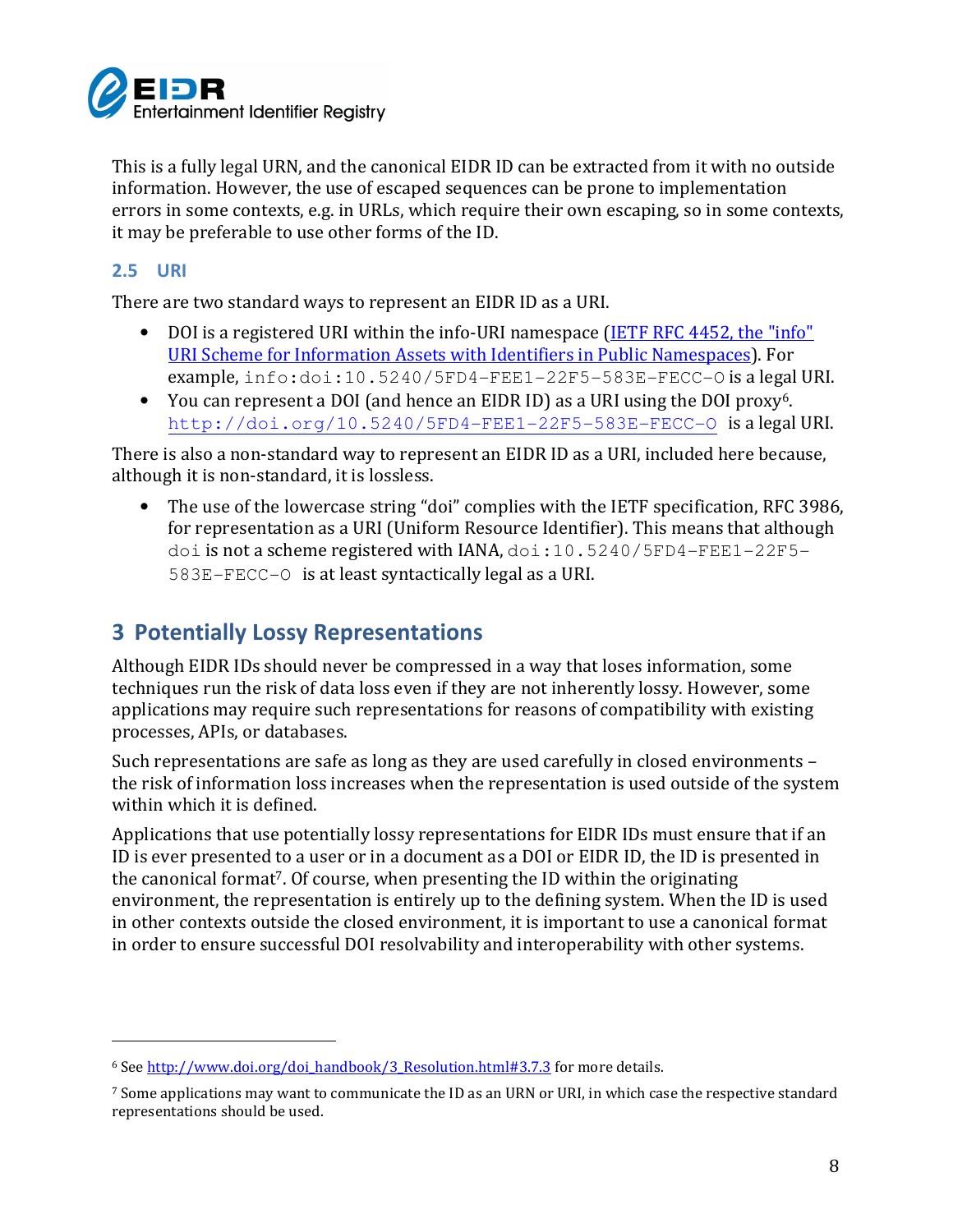

This is a fully legal URN, and the canonical EIDR ID can be extracted from it with no outside information. However, the use of escaped sequences can be prone to implementation errors in some contexts, e.g. in URLs, which require their own escaping, so in some contexts, it may be preferable to use other forms of the ID.

## 2.5 URI

 $\overline{a}$ 

There are two standard ways to represent an EIDR ID as a URI.

- DOI is a registered URI within the info-URI namespace (IETF RFC 4452, the "info" URI Scheme for Information Assets with Identifiers in Public Namespaces). For example, info:doi:10.5240/5FD4-FEE1-22F5-583E-FECC-O is a legal URI.
- You can represent a DOI (and hence an EIDR ID) as a URI using the DOI proxy<sup>6</sup>. http://doi.org/10.5240/5FD4-FEE1-22F5-583E-FECC-O is a legal URI.

There is also a non-standard way to represent an EIDR ID as a URI, included here because, although it is non-standard, it is lossless.

• The use of the lowercase string "doi" complies with the IETF specification, RFC 3986, for representation as a URI (Uniform Resource Identifier). This means that although doi is not a scheme registered with IANA, doi:10.5240/5FD4-FEE1-22F5- 583E-FECC-O is at least syntactically legal as a URI.

# 3 Potentially Lossy Representations

Although EIDR IDs should never be compressed in a way that loses information, some techniques run the risk of data loss even if they are not inherently lossy. However, some applications may require such representations for reasons of compatibility with existing processes, APIs, or databases.

Such representations are safe as long as they are used carefully in closed environments – the risk of information loss increases when the representation is used outside of the system within which it is defined.

Applications that use potentially lossy representations for EIDR IDs must ensure that if an ID is ever presented to a user or in a document as a DOI or EIDR ID, the ID is presented in the canonical format7. Of course, when presenting the ID within the originating environment, the representation is entirely up to the defining system. When the ID is used in other contexts outside the closed environment, it is important to use a canonical format in order to ensure successful DOI resolvability and interoperability with other systems.

<sup>6</sup> See http://www.doi.org/doi\_handbook/3\_Resolution.html#3.7.3 for more details.

<sup>7</sup> Some applications may want to communicate the ID as an URN or URI, in which case the respective standard representations should be used.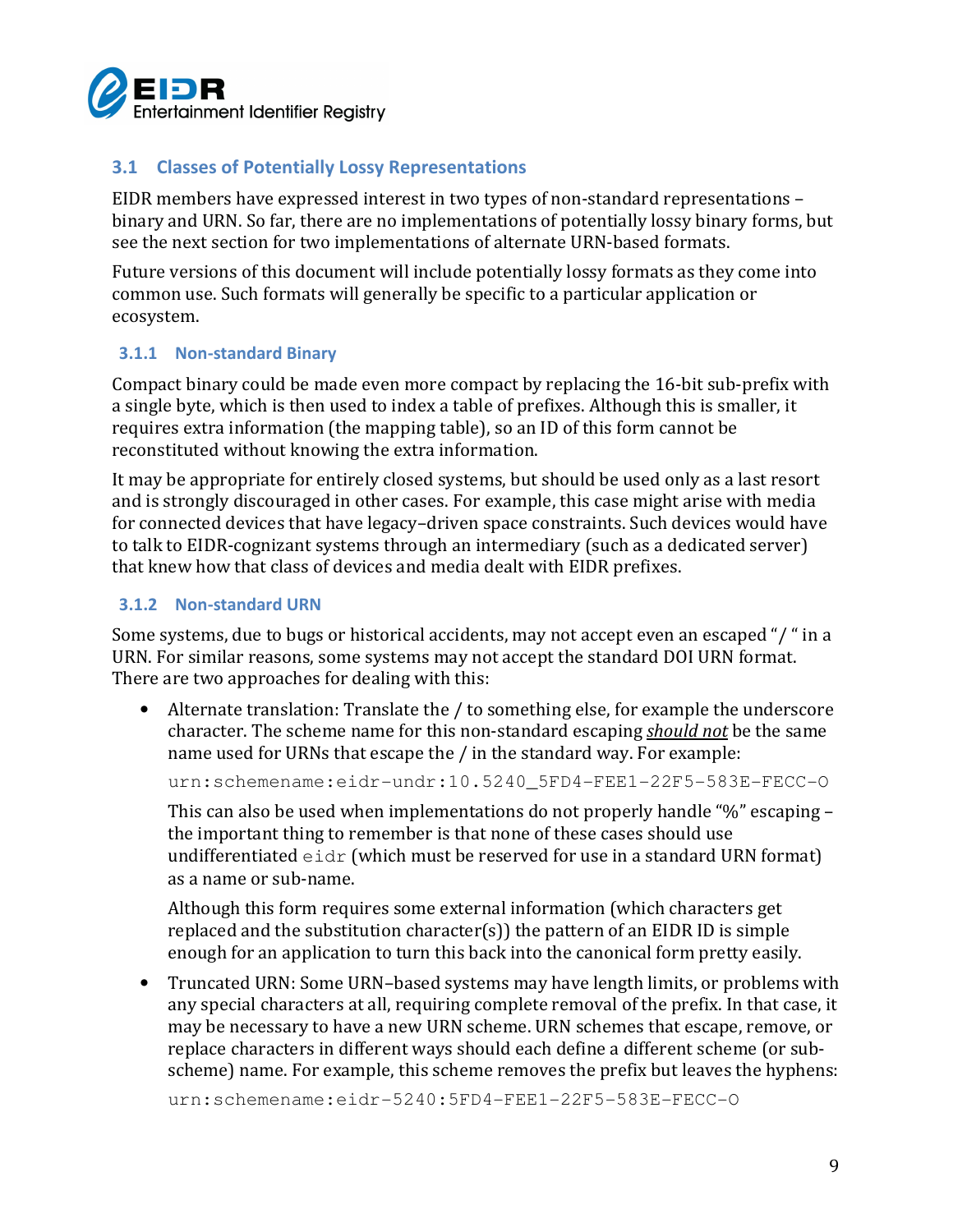

## 3.1 Classes of Potentially Lossy Representations

EIDR members have expressed interest in two types of non-standard representations – binary and URN. So far, there are no implementations of potentially lossy binary forms, but see the next section for two implementations of alternate URN-based formats.

Future versions of this document will include potentially lossy formats as they come into common use. Such formats will generally be specific to a particular application or ecosystem.

#### 3.1.1 Non-standard Binary

Compact binary could be made even more compact by replacing the 16-bit sub-prefix with a single byte, which is then used to index a table of prefixes. Although this is smaller, it requires extra information (the mapping table), so an ID of this form cannot be reconstituted without knowing the extra information.

It may be appropriate for entirely closed systems, but should be used only as a last resort and is strongly discouraged in other cases. For example, this case might arise with media for connected devices that have legacy–driven space constraints. Such devices would have to talk to EIDR-cognizant systems through an intermediary (such as a dedicated server) that knew how that class of devices and media dealt with EIDR prefixes.

#### 3.1.2 Non-standard URN

Some systems, due to bugs or historical accidents, may not accept even an escaped "/ " in a URN. For similar reasons, some systems may not accept the standard DOI URN format. There are two approaches for dealing with this:

• Alternate translation: Translate the / to something else, for example the underscore character. The scheme name for this non-standard escaping should not be the same name used for URNs that escape the / in the standard way. For example:

urn:schemename:eidr-undr:10.5240 5FD4-FEE1-22F5-583E-FECC-O

This can also be used when implementations do not properly handle "%" escaping – the important thing to remember is that none of these cases should use undifferentiated  $e$ idr (which must be reserved for use in a standard URN format) as a name or sub-name.

Although this form requires some external information (which characters get replaced and the substitution character(s)) the pattern of an EIDR ID is simple enough for an application to turn this back into the canonical form pretty easily.

• Truncated URN: Some URN–based systems may have length limits, or problems with any special characters at all, requiring complete removal of the prefix. In that case, it may be necessary to have a new URN scheme. URN schemes that escape, remove, or replace characters in different ways should each define a different scheme (or subscheme) name. For example, this scheme removes the prefix but leaves the hyphens:

urn:schemename:eidr-5240:5FD4-FEE1-22F5-583E-FECC-O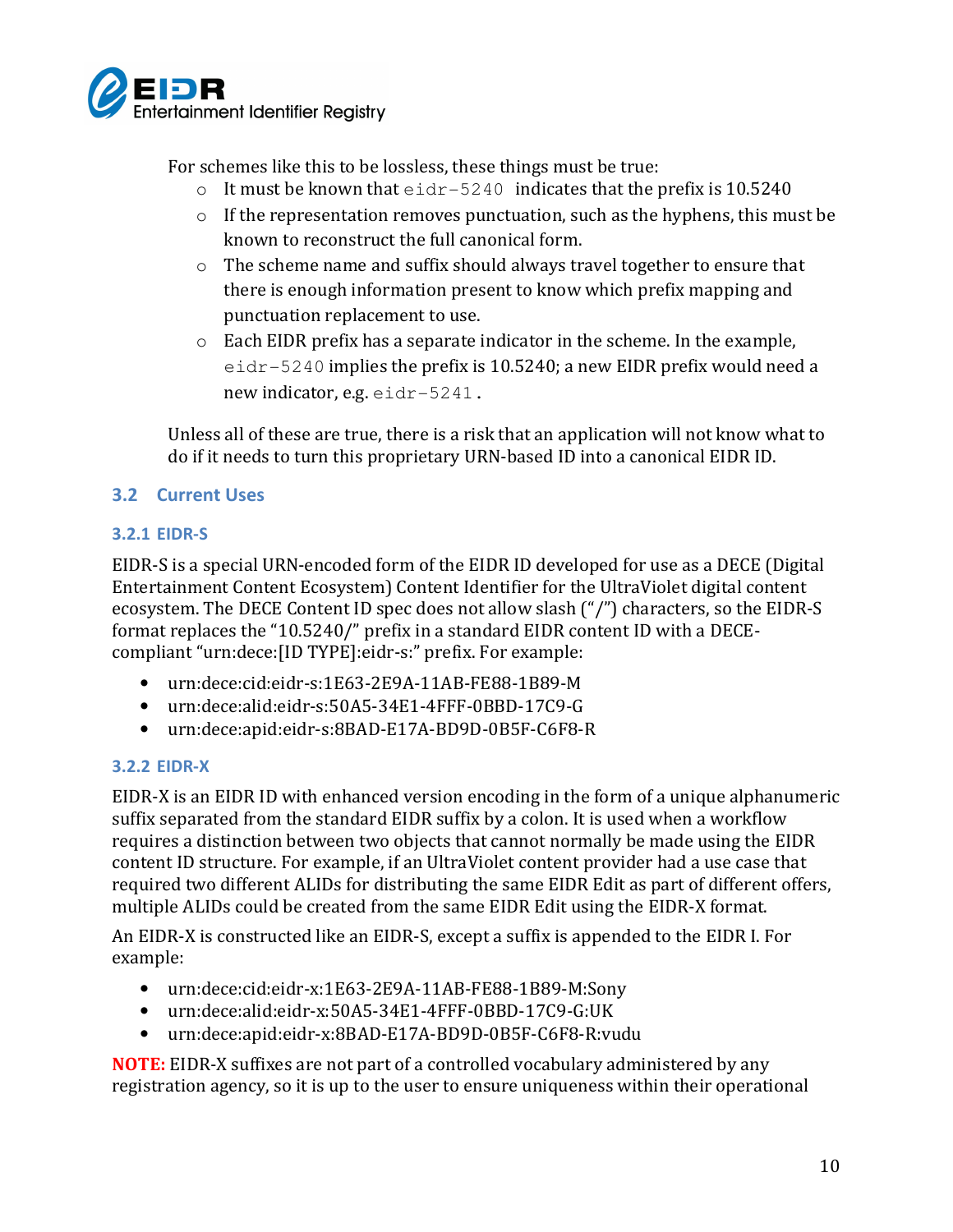

For schemes like this to be lossless, these things must be true:

- $\circ$  It must be known that  $e$ idr-5240 indicates that the prefix is 10.5240
- $\circ$  If the representation removes punctuation, such as the hyphens, this must be known to reconstruct the full canonical form.
- o The scheme name and suffix should always travel together to ensure that there is enough information present to know which prefix mapping and punctuation replacement to use.
- o Each EIDR prefix has a separate indicator in the scheme. In the example, eidr-5240 implies the prefix is 10.5240; a new EIDR prefix would need a new indicator, e.g. eidr-5241.

Unless all of these are true, there is a risk that an application will not know what to do if it needs to turn this proprietary URN-based ID into a canonical EIDR ID.

## 3.2 Current Uses

### 3.2.1 EIDR-S

EIDR-S is a special URN-encoded form of the EIDR ID developed for use as a DECE (Digital Entertainment Content Ecosystem) Content Identifier for the UltraViolet digital content ecosystem. The DECE Content ID spec does not allow slash ("/") characters, so the EIDR-S format replaces the "10.5240/" prefix in a standard EIDR content ID with a DECEcompliant "urn:dece:[ID TYPE]:eidr-s:" prefix. For example:

- urn:dece:cid:eidr-s:1E63-2E9A-11AB-FE88-1B89-M
- urn:dece:alid:eidr-s:50A5-34E1-4FFF-0BBD-17C9-G
- urn:dece:apid:eidr-s:8BAD-E17A-BD9D-0B5F-C6F8-R

#### 3.2.2 EIDR-X

EIDR-X is an EIDR ID with enhanced version encoding in the form of a unique alphanumeric suffix separated from the standard EIDR suffix by a colon. It is used when a workflow requires a distinction between two objects that cannot normally be made using the EIDR content ID structure. For example, if an UltraViolet content provider had a use case that required two different ALIDs for distributing the same EIDR Edit as part of different offers, multiple ALIDs could be created from the same EIDR Edit using the EIDR-X format.

An EIDR-X is constructed like an EIDR-S, except a suffix is appended to the EIDR I. For example:

- urn:dece:cid:eidr-x:1E63-2E9A-11AB-FE88-1B89-M:Sony
- urn:dece:alid:eidr-x:50A5-34E1-4FFF-0BBD-17C9-G:UK
- urn:dece:apid:eidr-x:8BAD-E17A-BD9D-0B5F-C6F8-R:vudu

NOTE: EIDR-X suffixes are not part of a controlled vocabulary administered by any registration agency, so it is up to the user to ensure uniqueness within their operational